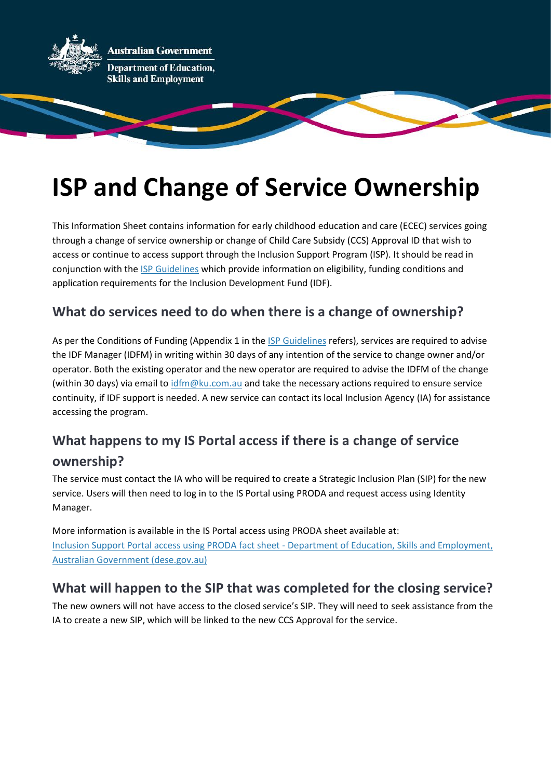

# **ISP and Change of Service Ownership**

This Information Sheet contains information for early childhood education and care (ECEC) services going through a change of service ownership or change of Child Care Subsidy (CCS) Approval ID that wish to access or continue to access support through the Inclusion Support Program (ISP). It should be read in conjunction with the [ISP Guidelines](file:///C:/Users/jm4201/AppData/Local/Temp/1/MicrosoftEdgeDownloads/42f03974-4ece-4e94-9c15-85fa072bfa68/Inclusion%20Support%20Program%20(ISP)%20Guidelines%20-%20Department%20of%20Education,%20Skills%20and%20Employment,%20Australian%20Government%20(dese.gov.au)) which provide information on eligibility, funding conditions and application requirements for the Inclusion Development Fund (IDF).

#### **What do services need to do when there is a change of ownership?**

As per the Conditions of Funding (Appendix 1 in th[e ISP Guidelines](file:///C:/Users/jm4201/AppData/Local/Temp/1/MicrosoftEdgeDownloads/42f03974-4ece-4e94-9c15-85fa072bfa68/Inclusion%20Support%20Program%20(ISP)%20Guidelines%20-%20Department%20of%20Education,%20Skills%20and%20Employment,%20Australian%20Government%20(dese.gov.au)) refers), services are required to advise the IDF Manager (IDFM) in writing within 30 days of any intention of the service to change owner and/or operator. Both the existing operator and the new operator are required to advise the IDFM of the change (within 30 days) via email t[o idfm@ku.com.au](mailto:idfm@ku.com.au) and take the necessary actions required to ensure service continuity, if IDF support is needed. A new service can contact its local Inclusion Agency (IA) for assistance accessing the program.

### **What happens to my IS Portal access if there is a change of service ownership?**

The service must contact the IA who will be required to create a Strategic Inclusion Plan (SIP) for the new service. Users will then need to log in to the IS Portal using PRODA and request access using Identity Manager.

More information is available in the IS Portal access using PRODA sheet available at: [Inclusion Support Portal access using PRODA fact sheet -](https://www.dese.gov.au/child-care-package/resources/inclusion-support-portal-access-using-proda-fact-sheet) Department of Education, Skills and Employment, [Australian Government \(dese.gov.au\)](https://www.dese.gov.au/child-care-package/resources/inclusion-support-portal-access-using-proda-fact-sheet)

#### **What will happen to the SIP that was completed for the closing service?**

The new owners will not have access to the closed service's SIP. They will need to seek assistance from the IA to create a new SIP, which will be linked to the new CCS Approval for the service.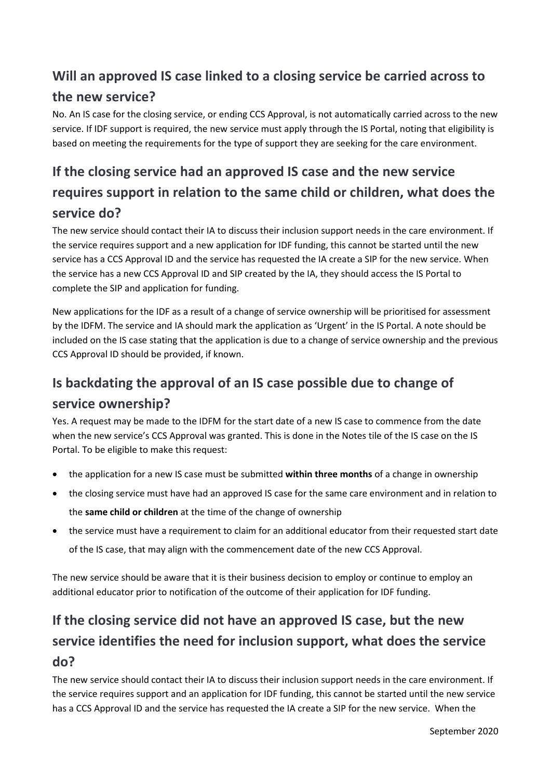## **Will an approved IS case linked to a closing service be carried across to the new service?**

No. An IS case for the closing service, or ending CCS Approval, is not automatically carried across to the new service. If IDF support is required, the new service must apply through the IS Portal, noting that eligibility is based on meeting the requirements for the type of support they are seeking for the care environment.

## **If the closing service had an approved IS case and the new service requires support in relation to the same child or children, what does the service do?**

The new service should contact their IA to discuss their inclusion support needs in the care environment. If the service requires support and a new application for IDF funding, this cannot be started until the new service has a CCS Approval ID and the service has requested the IA create a SIP for the new service. When the service has a new CCS Approval ID and SIP created by the IA, they should access the IS Portal to complete the SIP and application for funding.

New applications for the IDF as a result of a change of service ownership will be prioritised for assessment by the IDFM. The service and IA should mark the application as 'Urgent' in the IS Portal. A note should be included on the IS case stating that the application is due to a change of service ownership and the previous CCS Approval ID should be provided, if known.

#### **Is backdating the approval of an IS case possible due to change of service ownership?**

Yes. A request may be made to the IDFM for the start date of a new IS case to commence from the date when the new service's CCS Approval was granted. This is done in the Notes tile of the IS case on the IS Portal. To be eligible to make this request:

- the application for a new IS case must be submitted **within three months** of a change in ownership
- the closing service must have had an approved IS case for the same care environment and in relation to the **same child or children** at the time of the change of ownership
- the service must have a requirement to claim for an additional educator from their requested start date of the IS case, that may align with the commencement date of the new CCS Approval.

The new service should be aware that it is their business decision to employ or continue to employ an additional educator prior to notification of the outcome of their application for IDF funding.

## **If the closing service did not have an approved IS case, but the new service identifies the need for inclusion support, what does the service do?**

The new service should contact their IA to discuss their inclusion support needs in the care environment. If the service requires support and an application for IDF funding, this cannot be started until the new service has a CCS Approval ID and the service has requested the IA create a SIP for the new service. When the